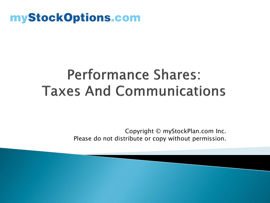### myStockOptions.com

### **Performance Shares: Taxes And Communications**

Copyright © myStockPlan.com Inc. Please do not distribute or copy without permission.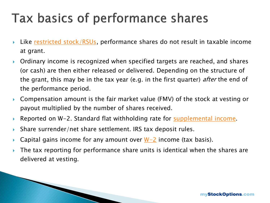### Tax basics of performance shares

- Like [restricted stock/RSUs](https://www.mystockoptions.com/articles/index.cfm/secID/FA09D413-6C8C-42B6-B431BDBA7787D3E8/catID/D554C543-9C2A-48F9-A389E003B3031284), performance shares do not result in taxable income at grant.
- Ordinary income is recognized when specified targets are reached, and shares (or cash) are then either released or delivered. Depending on the structure of the grant, this may be in the tax year (e.g. in the first quarter) *after* the end of the performance period.
- Compensation amount is the fair market value (FMV) of the stock at vesting or payout multiplied by the number of shares received.
- Reported on W-2. Standard flat withholding rate for [supplemental income.](https://www.mystockoptions.com/faq/index.cfm/catID/D554C543-9C2A-48F9-A389E003B3031284/ObjectID/17AAC844-5935-4EB6-AF9EB612AA30AE1C)
- Share surrender/net share settlement. IRS tax deposit rules.

<u> The Communication of the Communication of the Communication of the Communication of the Communication of the Communication of the Communication of the Communication of the Communication of the Communication of the Commun</u>

- **Capital gains income for any amount over**  $W-2$  **income (tax basis).**
- The tax reporting for performance share units is identical when the shares are delivered at vesting.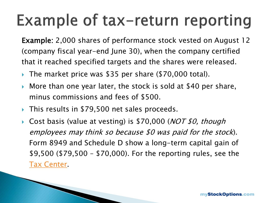## Example of tax-return reporting

Example: 2,000 shares of performance stock vested on August 12 (company fiscal year-end June 30), when the company certified that it reached specified targets and the shares were released.

- The market price was \$35 per share (\$70,000 total).
- More than one year later, the stock is sold at \$40 per share, minus commissions and fees of \$500.
- ▶ This results in \$79,500 net sales proceeds.
- Cost basis (value at vesting) is \$70,000 (*NOT \$0, though* employees may think so because \$0 was paid for the stock). Form 8949 and Schedule D show a long-term capital gain of \$9,500 (\$79,500 – \$70,000). For the reporting rules, see the [Tax Center.](https://www.mystockoptions.com/articles/index.cfm/secID/99AFD8C4-251C-48C6-B473345C32C5D08B)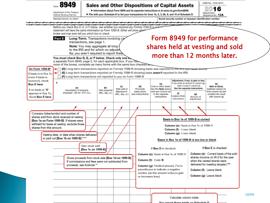8949

#### **Sales and Other Dispositions of Capital Assets**

Information about Form 8949 and its separate instructions is at www.irs.gov/form8949.

File with your Schedule D to list your transactions for lines 1b, 2, 3, 8b, 9, and 10 of Schedule D.

Department of the Treasury Internal Revenue Service Name(s) shown on return

Social security number or taxpayer identification number

Vou ronart those totals an Cabadula D.

OMB No. 1545-0074

Sequence No. 12A

Attachment

16

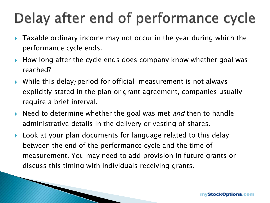### Delay after end of performance cycle

- Taxable ordinary income may not occur in the year during which the performance cycle ends.
- $\blacktriangleright$  How long after the cycle ends does company know whether goal was reached?
- While this delay/period for official measurement is not always explicitly stated in the plan or grant agreement, companies usually require a brief interval.
- Need to determine whether the goal was met *and* then to handle administrative details in the delivery or vesting of shares.
- ▶ Look at your plan documents for language related to this delay between the end of the performance cycle and the time of measurement. You may need to add provision in future grants or discuss this timing with individuals receiving grants.

and the contract of the contract of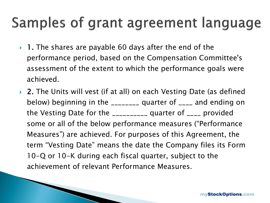### Samples of grant agreement language

- $\blacktriangleright$  1. The shares are payable 60 days after the end of the performance period, based on the Compensation Committee's assessment of the extent to which the performance goals were achieved.
- ▶ 2. The Units will vest (if at all) on each Vesting Date (as defined below) beginning in the \_\_\_\_\_\_\_\_ quarter of \_\_\_\_ and ending on the Vesting Date for the \_\_\_\_\_\_\_\_\_\_ quarter of \_\_\_\_ provided some or all of the below performance measures ("Performance Measures") are achieved. For purposes of this Agreement, the term "Vesting Date" means the date the Company files its Form 10-Q or 10-K during each fiscal quarter, subject to the achievement of relevant Performance Measures.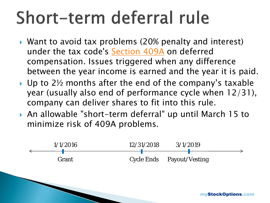# Short-term deferral rule

- Want to avoid tax problems (20% penalty and interest) under the tax code's [Section 409A](https://www.mystockoptions.com/faq/index.cfm/catID/EEB818D6-4D30-473E-9D169E55E88C9174/ObjectID/9C4DD651-9160-4A04-938AD834AA3AFFD3) on deferred compensation. Issues triggered when any difference between the year income is earned and the year it is paid.
- $\rightarrow$  Up to 2½ months after the end of the company's taxable year (usually also end of performance cycle when 12/31), company can deliver shares to fit into this rule.
- An allowable "short-term deferral" up until March 15 to minimize risk of 409A problems.

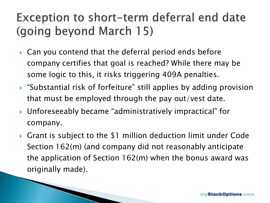### Exception to short-term deferral end date (going beyond March 15)

- ▶ Can you contend that the deferral period ends before company certifies that goal is reached? While there may be some logic to this, it risks triggering 409A penalties.
- "Substantial risk of forfeiture" still applies by adding provision that must be employed through the pay out/vest date.
- Unforeseeably became "administratively impractical" for company.
- ▶ Grant is subject to the \$1 million deduction limit under Code Section 162(m) (and company did not reasonably anticipate the application of Section 162(m) when the bonus award was originally made).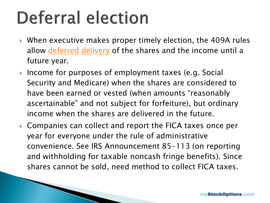# **Deferral election**

- When executive makes proper timely election, the 409A rules allow [deferred delivery](https://www.mystockoptions.com/faq/index.cfm/catID/01EC5AE8-EF49-40D9-B2267007E4FD02C3/ObjectID/5002F501-35A3-4699-896F0D507CC366CE) of the shares and the income until a future year.
- ▶ Income for purposes of employment taxes (e.g. Social Security and Medicare) when the shares are considered to have been earned or vested (when amounts "reasonably ascertainable" and not subject for forfeiture), but ordinary income when the shares are delivered in the future.
- ▶ Companies can collect and report the FICA taxes once per year for everyone under the rule of administrative convenience. See IRS Announcement 85-113 (on reporting and withholding for taxable noncash fringe benefits). Since shares cannot be sold, need method to collect FICA taxes.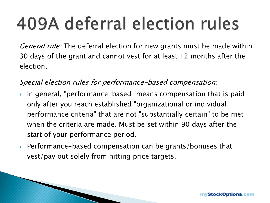# 409A deferral election rules

General rule: The deferral election for new grants must be made within 30 days of the grant and cannot vest for at least 12 months after the election.

Special election rules for performance-based compensation:

- In general, "performance-based" means compensation that is paid only after you reach established "organizational or individual performance criteria" that are not "substantially certain" to be met when the criteria are made. Must be set within 90 days after the start of your performance period.
- ▶ Performance-based compensation can be grants/bonuses that vest/pay out solely from hitting price targets.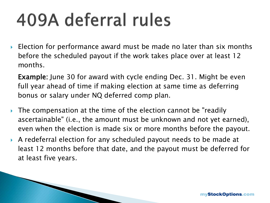# 409A deferral rules

 Election for performance award must be made no later than six months before the scheduled payout if the work takes place over at least 12 months.

Example: June 30 for award with cycle ending Dec. 31. Might be even full year ahead of time if making election at same time as deferring bonus or salary under NQ deferred comp plan.

- The compensation at the time of the election cannot be "readily ascertainable" (i.e., the amount must be unknown and not yet earned), even when the election is made six or more months before the payout.
- A redeferral election for any scheduled payout needs to be made at least 12 months before that date, and the payout must be deferred for at least five years.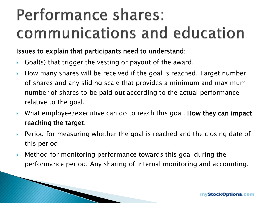## Performance shares: communications and education

### Issues to explain that participants need to understand:

- Goal(s) that trigger the vesting or payout of the award.
- $\blacktriangleright$  How many shares will be received if the goal is reached. Target number of shares and any sliding scale that provides a minimum and maximum number of shares to be paid out according to the actual performance relative to the goal.
- What employee/executive can do to reach this goal. How they can impact reaching the target.
- ▶ Period for measuring whether the goal is reached and the closing date of this period
- Method for monitoring performance towards this goal during the performance period. Any sharing of internal monitoring and accounting.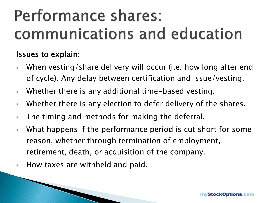## Performance shares: communications and education

### Issues to explain:

- When vesting/share delivery will occur (i.e. how long after end of cycle). Any delay between certification and issue/vesting.
- Whether there is any additional time-based vesting.
- ▶ Whether there is any election to defer delivery of the shares.
- The timing and methods for making the deferral.
- What happens if the performance period is cut short for some reason, whether through termination of employment, retirement, death, or acquisition of the company.
- $\blacktriangleright$  How taxes are withheld and paid.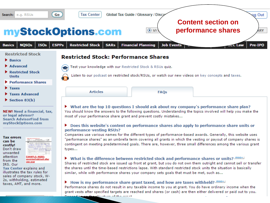

"performance shares" as an umbrella term covering all grants in which the vesting or payout of company shares is

contingent on meeting predetermined goals. There are, however, three small differences among the various grant

Shares of restricted stock are issued up front at grant, but you do not own them outright and cannot sell or transfer

• What is the difference between restricted stock and performance shares or units? *misot* 

similar, while with performance shares your company sets goals that must be met, such as...

How is my performance share grant taxed, and how are taxes withheld?  $\frac{mso+1}{2}$ 

والمتواصل والمناط كالمراجعة والمتحاسب

the shares until the time-based restrictions lapse. With standard restricted stock units the situation is basically

Performance shares do not result in any taxable income to you at grant. You do have ordinary income when the grant vests after specified targets are reached and shares (or cash) are then either delivered or paid out to you.

#### **Tax errors** can be costly! Don't draw unwanted attention from the

**EXAMPLE: NOSO:** exercise/hold/sell after one year IRS. Our

types...

**Tax Center explains and** illustrates the tax rules for sales of company stock, W-2s, withholding, estimated taxes, AMT, and more.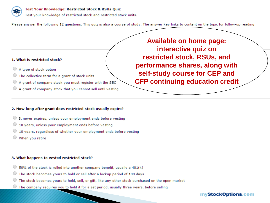

#### Test Your Knowledge: Restricted Stock & RSUs Quiz

Test your knowledge of restricted stock and restricted stock units.

Please answer the following 12 questions. This quiz is also a course of study. The answer key links to content on the topic for follow-up reading

#### 1. What is restricted stock?

- A type of stock option
- The collective term for a grant of stock units
- A grant of company stock you must register with the SEC
- A grant of company stock that you cannot sell until vesting

**Available on home page:** interactive quiz on restricted stock, RSUs, and performance shares, along with self-study course for CEP and **CFP continuing education credit** 

#### 2. How long after grant does restricted stock usually expire?

- It never expires, unless your employment ends before vesting
- 10 years, unless your employment ends before yesting
- 10 years, regardless of whether your employment ends before vesting
- When you retire

#### 3. What happens to vested restricted stock?

- 50% of the stock is rolled into another company benefit, usually a 401(k)
- The stock becomes yours to hold or sell after a lockup period of 180 days
- The stock becomes yours to hold, sell, or gift, like any other stock purchased on the open market
- The company requires you to hold it for a set period, usually three years, before selling

#### myStockOptions.com